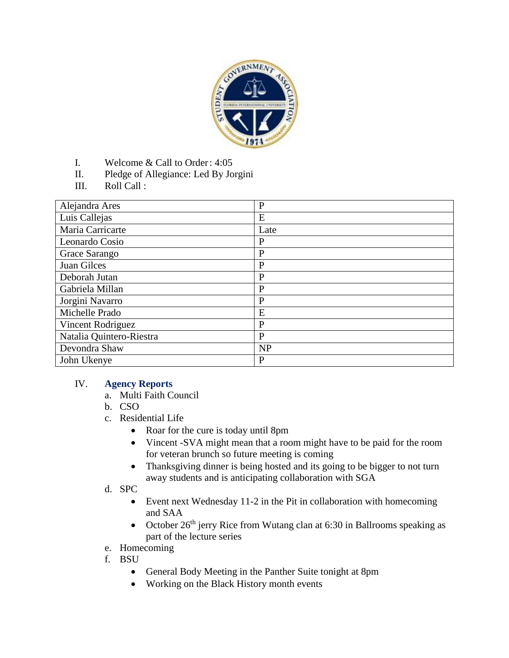

- I. Welcome & Call to Order: 4:05
- II. Pledge of Allegiance: Led By Jorgini
- III. Roll Call :

| Alejandra Ares           | $\mathbf{P}$ |
|--------------------------|--------------|
| Luis Callejas            | E            |
| Maria Carricarte         | Late         |
| Leonardo Cosio           | $\mathbf{P}$ |
| Grace Sarango            | $\mathbf{P}$ |
| Juan Gilces              | $\mathbf{P}$ |
| Deborah Jutan            | P            |
| Gabriela Millan          | P            |
| Jorgini Navarro          | P            |
| Michelle Prado           | E            |
| Vincent Rodriguez        | $\mathbf{P}$ |
| Natalia Quintero-Riestra | P            |
| Devondra Shaw            | <b>NP</b>    |
| John Ukenye              | $\mathbf{P}$ |

### IV. **Agency Reports**

- a. Multi Faith Council
- b. CSO
- c. Residential Life
	- Roar for the cure is today until 8pm
	- Vincent -SVA might mean that a room might have to be paid for the room for veteran brunch so future meeting is coming
	- Thanksgiving dinner is being hosted and its going to be bigger to not turn away students and is anticipating collaboration with SGA
- d. SPC
	- Event next Wednesday 11-2 in the Pit in collaboration with homecoming and SAA
	- October  $26<sup>th</sup>$  jerry Rice from Wutang clan at 6:30 in Ballrooms speaking as part of the lecture series
- e. Homecoming
- f. BSU
	- General Body Meeting in the Panther Suite tonight at 8pm
	- Working on the Black History month events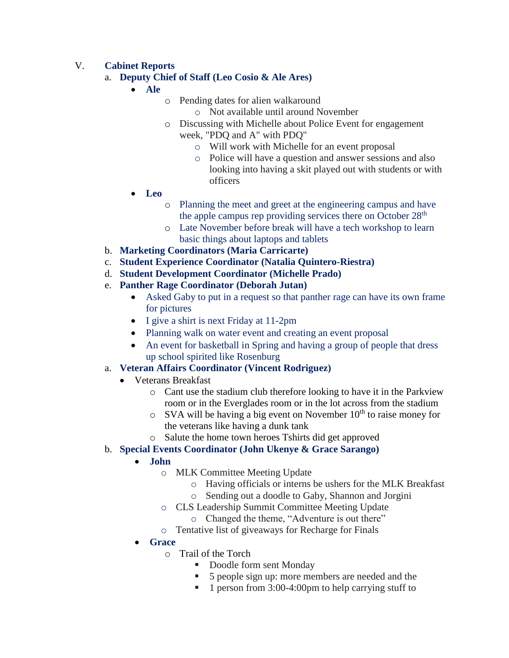# V. **Cabinet Reports**

## a. **Deputy Chief of Staff (Leo Cosio & Ale Ares)**

**Ale**

- o Pending dates for alien walkaround
	- o Not available until around November
- o Discussing with Michelle about Police Event for engagement
	- week, "PDQ and A" with PDQ"
		- o Will work with Michelle for an event proposal
		- o Police will have a question and answer sessions and also looking into having a skit played out with students or with officers
- **Leo**
	- o Planning the meet and greet at the engineering campus and have the apple campus rep providing services there on October 28<sup>th</sup>
	- o Late November before break will have a tech workshop to learn basic things about laptops and tablets
- b. **Marketing Coordinators (Maria Carricarte)**
- c. **Student Experience Coordinator (Natalia Quintero-Riestra)**
- d. **Student Development Coordinator (Michelle Prado)**
- e. **Panther Rage Coordinator (Deborah Jutan)**
	- Asked Gaby to put in a request so that panther rage can have its own frame for pictures
	- I give a shirt is next Friday at 11-2pm
	- Planning walk on water event and creating an event proposal
	- An event for basketball in Spring and having a group of people that dress up school spirited like Rosenburg

### a. **Veteran Affairs Coordinator (Vincent Rodriguez)**

- Veterans Breakfast
	- o Cant use the stadium club therefore looking to have it in the Parkview room or in the Everglades room or in the lot across from the stadium
	- $\circ$  SVA will be having a big event on November 10<sup>th</sup> to raise money for the veterans like having a dunk tank
- o Salute the home town heroes Tshirts did get approved

### b. **Special Events Coordinator (John Ukenye & Grace Sarango)**

# **John**

- o MLK Committee Meeting Update
	- o Having officials or interns be ushers for the MLK Breakfast
	- o Sending out a doodle to Gaby, Shannon and Jorgini
- o CLS Leadership Summit Committee Meeting Update
	- o Changed the theme, "Adventure is out there"
- o Tentative list of giveaways for Recharge for Finals
- **Grace**
	- o Trail of the Torch
		- Doodle form sent Monday
		- 5 people sign up: more members are needed and the
		- $\blacksquare$  1 person from 3:00-4:00pm to help carrying stuff to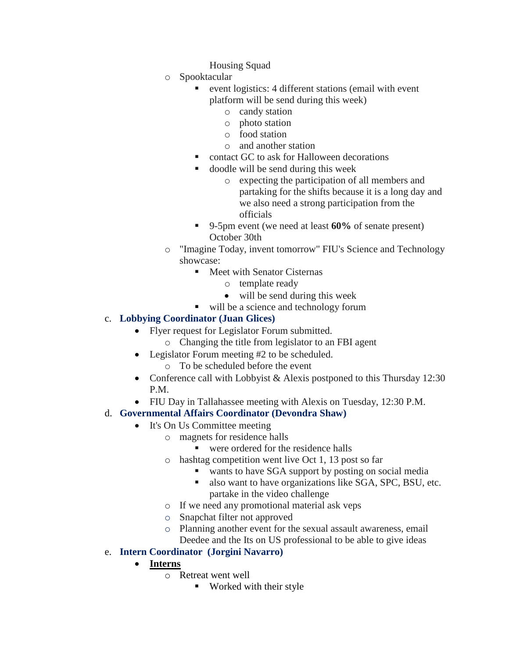- Housing Squad
- o Spooktacular
	- event logistics: 4 different stations (email with event platform will be send during this week)
		- o candy station
		- o photo station
		- o food station
		- o and another station
	- contact GC to ask for Halloween decorations
	- doodle will be send during this week
		- o expecting the participation of all members and partaking for the shifts because it is a long day and we also need a strong participation from the officials
	- 9-5pm event (we need at least **60%** of senate present) October 30th
- o "Imagine Today, invent tomorrow" FIU's Science and Technology showcase:
	- **Meet with Senator Cisternas** 
		- o template ready
		- will be send during this week
	- will be a science and technology forum

## c. **Lobbying Coordinator (Juan Glices)**

- Flyer request for Legislator Forum submitted.
	- o Changing the title from legislator to an FBI agent
- Legislator Forum meeting #2 to be scheduled.
	- o To be scheduled before the event
- Conference call with Lobbyist & Alexis postponed to this Thursday 12:30 P.M.
- FIU Day in Tallahassee meeting with Alexis on Tuesday, 12:30 P.M.
- d. **Governmental Affairs Coordinator (Devondra Shaw)**
	- It's On Us Committee meeting
		- o magnets for residence halls
			- were ordered for the residence halls
		- o hashtag competition went live Oct 1, 13 post so far
			- wants to have SGA support by posting on social media
			- also want to have organizations like SGA, SPC, BSU, etc. partake in the video challenge
		- o If we need any promotional material ask veps
		- o Snapchat filter not approved
		- o Planning another event for the sexual assault awareness, email Deedee and the Its on US professional to be able to give ideas

# e. **Intern Coordinator (Jorgini Navarro)**

- **Interns**
	- o Retreat went well
		- **Worked with their style**